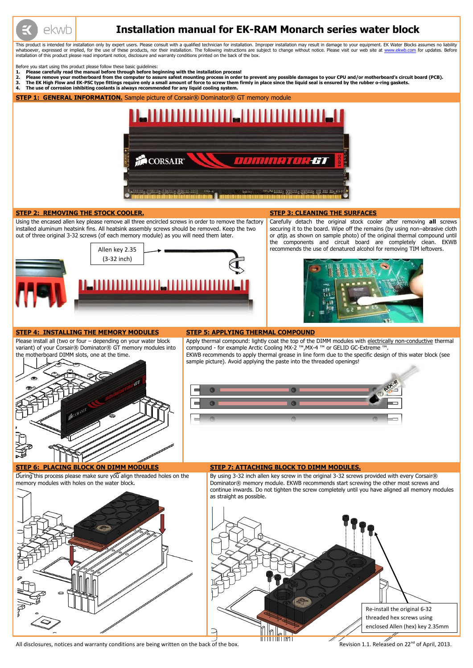

# **Installation manual for EK-RAM Monarch series water block**

This product is intended for installation only by expert users. Please consult with a qualified technician for installation. Improper installation may result in damage to your equipment. EK Water Blocks assumes no liabilit whatsoever, expressed or implied, for the use of these products, nor their installation. The following instructions are subject to change without notice. Please visit our web site at [www.ekwb.com](http://www.ekwb.com/) for updates. Before installation of this product please read important notice, disclosure and warranty conditions printed on the back of the box.

Before you start using this product please follow these basic guidelines:

- **1. Please carefully read the manual before through before beginning with the installation process!**
- 2. Please remove your motherboard from the computer to assure safest mounting process in order to prevent any possible damages to your CPU and/or motherboard's circuit board (PCB).<br>3. The EK High Flow and EK-PSC type fitti
- **3. The EK High Flow and EK-PSC type fittings require only a small amount of force to screw them firmly in place since the liquid seal is ensured by the rubber o-ring gaskets.**
- **4. The use of corrosion inhibiting coolants is always recommended for any liquid cooling system.**

**STEP 1: GENERAL INFORMATION.** Sample picture of Corsair<sup>®</sup> Dominator<sup>®</sup> GT memory module



During this process please make sure you align threaded holes on the memory modules with holes on the water block.

#### **STEP 2: REMOVING THE STOCK COOLER. STEP 3: CLEANING THE SURFACES**

By using 3-32 inch allen key screw in the original 3-32 screws provided with every Corsair® Dominator® memory module. EKWB recommends start screwing the other most screws and continue inwards. Do not tighten the screw completely until you have aligned all memory modules as straight as possible.

Using the encased allen key please remove all three encircled screws in order to remove the factory installed aluminum heatsink fins. All heatsink assembly screws should be removed. Keep the two out of three original 3-32 screws (of each memory module) as you will need them later.



Carefully detach the original stock cooler after removing **all** screws securing it to the board. Wipe off the remains (by using non–abrasive cloth or *qtip*, as shown on sample photo) of the original thermal compound until the components and circuit board are completely clean. EKWB recommends the use of denatured alcohol for removing TIM leftovers.



#### **STEP 4: INSTALLING THE MEMORY MODULES STEP 5: APPLYING THERMAL COMPOUND**

Please install all (two or four – depending on your water block variant) of your Corsair® Dominator® GT memory modules into the motherboard DIMM slots, one at the time.

compound - for example Arctic Cooling MX-2 ™,MX-4 ™ or GELID GC-Extreme ™. EKWB recommends to apply thermal grease in line form due to the specific design of this water block (see sample picture). Avoid applying the paste into the threaded openings!



## Apply thermal compound: lightly coat the top of the DIMM modules with electrically non-conductive thermal



### **STEP 6: PLACING BLOCK ON DIMM MODULES STEP 7: ATTACHING BLOCK TO DIMM MODULES.**